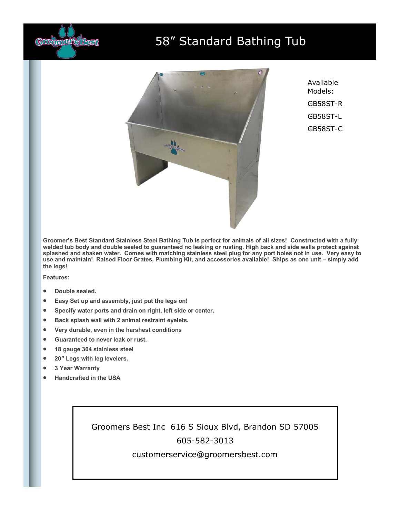

## 58" Standard Bathing Tub



Available Models: GB58ST-R GB58ST-L GB58ST-C

**Groomer's Best Standard Stainless Steel Bathing Tub is perfect for animals of all sizes! Constructed with a fully welded tub body and double sealed to guaranteed no leaking or rusting. High back and side walls protect against splashed and shaken water. Comes with matching stainless steel plug for any port holes not in use. Very easy to use and maintain! Raised Floor Grates, Plumbing Kit, and accessories available! Ships as one unit – simply add the legs!**

**Features:**

- **Double sealed.**
- **Easy Set up and assembly, just put the legs on!**
- **Specify water ports and drain on right, left side or center.**
- **Back splash wall with 2 animal restraint eyelets.**
- **Very durable, even in the harshest conditions**
- **Guaranteed to never leak or rust.**
- **18 gauge 304 stainless steel**
- **20″ Legs with leg levelers.**
- **3 Year Warranty**
- **Handcrafted in the USA**

Groomers Best Inc 616 S Sioux Blvd, Brandon SD 57005 605-582-3013

customerservice@groomersbest.com